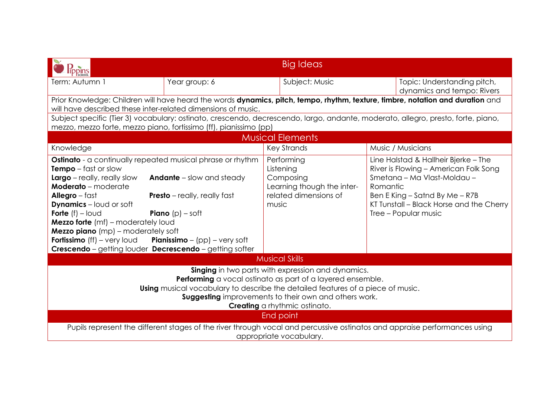| <b>Tppins</b>                                                                                                                                                                                                                                                                                                                                                                                                                                   |                                                                                                                                                | Big Ideas                                                                                            |                                                                                                                                                                                                                                    |  |
|-------------------------------------------------------------------------------------------------------------------------------------------------------------------------------------------------------------------------------------------------------------------------------------------------------------------------------------------------------------------------------------------------------------------------------------------------|------------------------------------------------------------------------------------------------------------------------------------------------|------------------------------------------------------------------------------------------------------|------------------------------------------------------------------------------------------------------------------------------------------------------------------------------------------------------------------------------------|--|
| Term: Autumn 1                                                                                                                                                                                                                                                                                                                                                                                                                                  | Year group: 6                                                                                                                                  | Subject: Music                                                                                       | Topic: Understanding pitch,<br>dynamics and tempo: Rivers                                                                                                                                                                          |  |
| Prior Knowledge: Children will have heard the words dynamics, pitch, tempo, rhythm, texture, timbre, notation and duration and<br>will have described these inter-related dimensions of music.                                                                                                                                                                                                                                                  |                                                                                                                                                |                                                                                                      |                                                                                                                                                                                                                                    |  |
| mezzo, mezzo forte, mezzo piano, fortissimo (ff), pianissimo (pp)                                                                                                                                                                                                                                                                                                                                                                               |                                                                                                                                                |                                                                                                      | Subject specific (Tier 3) vocabulary: ostinato, crescendo, decrescendo, largo, andante, moderato, allegro, presto, forte, piano,                                                                                                   |  |
|                                                                                                                                                                                                                                                                                                                                                                                                                                                 |                                                                                                                                                | <b>Musical Elements</b>                                                                              |                                                                                                                                                                                                                                    |  |
| Knowledge                                                                                                                                                                                                                                                                                                                                                                                                                                       |                                                                                                                                                | <b>Key Strands</b>                                                                                   | Music / Musicians                                                                                                                                                                                                                  |  |
| <b>Ostinato</b> - a continually repeated musical phrase or rhythm<br><b>Tempo</b> $-$ fast or slow<br>$Large$ - really, really slow<br><b>Moderato</b> - moderate<br>Allegro $-$ fast<br><b>Dynamics</b> – loud or soft<br><b>Forte</b> $(f)$ – loud<br><b>Mezzo forte</b> (mf) – moderately loud<br><b>Mezzo piano</b> (mp) – moderately soft<br><b>Fortissimo</b> (ff) – very loud<br>Crescendo - getting louder Decrescendo - getting softer | <b>Andante</b> – slow and steady<br><b>Presto</b> – really, really fast<br><b>Piano</b> $(p)$ – soft<br><b>Pianissimo</b> – $(pp)$ – very soft | Performing<br>Listening<br>Composing<br>Learning though the inter-<br>related dimensions of<br>music | Line Halstad & Hallheir Bjerke - The<br>River is Flowing - American Folk Song<br>Smetana - Ma Vlast-Moldau -<br>Romantic<br>Ben E King $-$ Satnd By Me $-$ R7B<br>KT Tunstall - Black Horse and the Cherry<br>Tree - Popular music |  |
| <b>Musical Skills</b>                                                                                                                                                                                                                                                                                                                                                                                                                           |                                                                                                                                                |                                                                                                      |                                                                                                                                                                                                                                    |  |
| <b>Singing</b> in two parts with expression and dynamics.<br>Performing a vocal ostinato as part of a layered ensemble.<br><b>Using</b> musical vocabulary to describe the detailed features of a piece of music.<br><b>Suggesting</b> improvements to their own and others work.<br>Creating a rhythmic ostinato.                                                                                                                              |                                                                                                                                                |                                                                                                      |                                                                                                                                                                                                                                    |  |
| End point<br>Pupils represent the different stages of the river through vocal and percussive ostinatos and appraise performances using                                                                                                                                                                                                                                                                                                          |                                                                                                                                                |                                                                                                      |                                                                                                                                                                                                                                    |  |
| appropriate vocabulary.                                                                                                                                                                                                                                                                                                                                                                                                                         |                                                                                                                                                |                                                                                                      |                                                                                                                                                                                                                                    |  |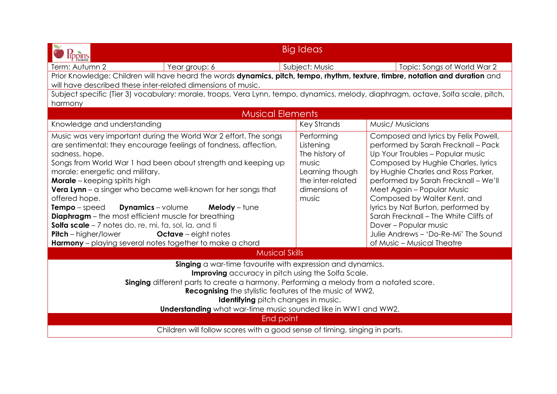| <b>Big Ideas</b>                                                                                                                                                                                                                                                                                                                                                                                                                                 |                                                                                                                                                                                                                                                                                                                                                                                                                                                                                 |  |  |  |
|--------------------------------------------------------------------------------------------------------------------------------------------------------------------------------------------------------------------------------------------------------------------------------------------------------------------------------------------------------------------------------------------------------------------------------------------------|---------------------------------------------------------------------------------------------------------------------------------------------------------------------------------------------------------------------------------------------------------------------------------------------------------------------------------------------------------------------------------------------------------------------------------------------------------------------------------|--|--|--|
|                                                                                                                                                                                                                                                                                                                                                                                                                                                  | Topic: Songs of World War 2                                                                                                                                                                                                                                                                                                                                                                                                                                                     |  |  |  |
|                                                                                                                                                                                                                                                                                                                                                                                                                                                  | Prior Knowledge: Children will have heard the words dynamics, pitch, tempo, rhythm, texture, timbre, notation and duration and                                                                                                                                                                                                                                                                                                                                                  |  |  |  |
|                                                                                                                                                                                                                                                                                                                                                                                                                                                  |                                                                                                                                                                                                                                                                                                                                                                                                                                                                                 |  |  |  |
|                                                                                                                                                                                                                                                                                                                                                                                                                                                  | Subject specific (Tier 3) vocabulary: morale, troops, Vera Lynn, tempo, dynamics, melody, diaphragm, octave, Solfa scale, pitch,                                                                                                                                                                                                                                                                                                                                                |  |  |  |
|                                                                                                                                                                                                                                                                                                                                                                                                                                                  |                                                                                                                                                                                                                                                                                                                                                                                                                                                                                 |  |  |  |
|                                                                                                                                                                                                                                                                                                                                                                                                                                                  |                                                                                                                                                                                                                                                                                                                                                                                                                                                                                 |  |  |  |
|                                                                                                                                                                                                                                                                                                                                                                                                                                                  | Music/ Musicians                                                                                                                                                                                                                                                                                                                                                                                                                                                                |  |  |  |
| Performing<br>Listening<br>The history of<br>music<br>Learning though<br>the inter-related<br>dimensions of<br>music                                                                                                                                                                                                                                                                                                                             | Composed and lyrics by Felix Powell,<br>performed by Sarah Frecknall - Pack<br>Up Your Troubles - Popular music<br>Composed by Hughie Charles, lyrics<br>by Hughie Charles and Ross Parker,<br>performed by Sarah Frecknall - We'll<br>Meet Again - Popular Music<br>Composed by Walter Kent, and<br>lyrics by Nat Burton, performed by<br>Sarah Frecknall - The White Cliffs of<br>Dover - Popular music<br>Julie Andrews - 'Do-Re-Mi' The Sound<br>of Music - Musical Theatre |  |  |  |
|                                                                                                                                                                                                                                                                                                                                                                                                                                                  |                                                                                                                                                                                                                                                                                                                                                                                                                                                                                 |  |  |  |
| <b>Musical Skills</b><br>Singing a war-time favourite with expression and dynamics.<br><b>Improving</b> accuracy in pitch using the Solfa Scale.<br>Singing different parts to create a harmony. Performing a melody from a notated score.<br><b>Recognising</b> the stylistic features of the music of WW2.<br><b>Identifying</b> pitch changes in music.<br><b>Understanding</b> what war-time music sounded like in WW1 and WW2.<br>End point |                                                                                                                                                                                                                                                                                                                                                                                                                                                                                 |  |  |  |
| Children will follow scores with a good sense of timing, singing in parts.                                                                                                                                                                                                                                                                                                                                                                       |                                                                                                                                                                                                                                                                                                                                                                                                                                                                                 |  |  |  |
|                                                                                                                                                                                                                                                                                                                                                                                                                                                  | Subject: Music<br><b>Musical Elements</b><br><b>Key Strands</b>                                                                                                                                                                                                                                                                                                                                                                                                                 |  |  |  |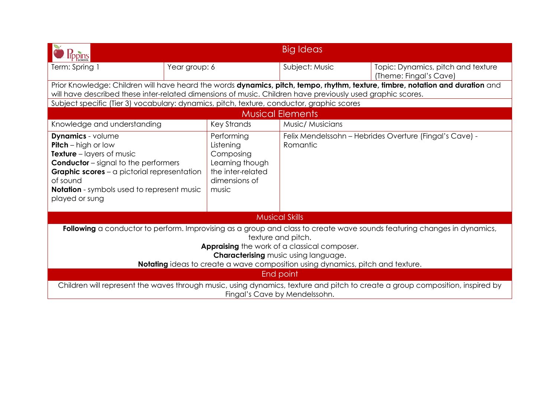| ppins                                                                                                                                                                                                                                                                                                                          |               |                                                                                                        | Big Ideas                                                           |                                                              |
|--------------------------------------------------------------------------------------------------------------------------------------------------------------------------------------------------------------------------------------------------------------------------------------------------------------------------------|---------------|--------------------------------------------------------------------------------------------------------|---------------------------------------------------------------------|--------------------------------------------------------------|
| Term: Spring 1                                                                                                                                                                                                                                                                                                                 | Year group: 6 |                                                                                                        | Subject: Music                                                      | Topic: Dynamics, pitch and texture<br>(Theme: Fingal's Cave) |
| Prior Knowledge: Children will have heard the words dynamics, pitch, tempo, rhythm, texture, timbre, notation and duration and<br>will have described these inter-related dimensions of music. Children have previously used graphic scores.                                                                                   |               |                                                                                                        |                                                                     |                                                              |
| Subject specific (Tier 3) vocabulary: dynamics, pitch, texture, conductor, graphic scores                                                                                                                                                                                                                                      |               |                                                                                                        |                                                                     |                                                              |
|                                                                                                                                                                                                                                                                                                                                |               |                                                                                                        | <b>Musical Elements</b>                                             |                                                              |
| Knowledge and understanding                                                                                                                                                                                                                                                                                                    |               | <b>Key Strands</b>                                                                                     | Music/ Musicians                                                    |                                                              |
| <b>Dynamics</b> - volume<br><b>Pitch</b> – high or low<br><b>Texture</b> – layers of music<br><b>Conductor</b> – signal to the performers<br><b>Graphic scores</b> – a pictorial representation<br>of sound<br><b>Notation</b> - symbols used to represent music<br>played or sung                                             |               | Performing<br>Listening<br>Composing<br>Learning though<br>the inter-related<br>dimensions of<br>music | Felix Mendelssohn - Hebrides Overture (Fingal's Cave) -<br>Romantic |                                                              |
|                                                                                                                                                                                                                                                                                                                                |               |                                                                                                        | <b>Musical Skills</b>                                               |                                                              |
| Following a conductor to perform. Improvising as a group and class to create wave sounds featuring changes in dynamics,<br>texture and pitch.<br>Appraising the work of a classical composer.<br><b>Characterising music using language.</b><br>Notating ideas to create a wave composition using dynamics, pitch and texture. |               |                                                                                                        |                                                                     |                                                              |
| End point                                                                                                                                                                                                                                                                                                                      |               |                                                                                                        |                                                                     |                                                              |
| Children will represent the waves through music, using dynamics, texture and pitch to create a group composition, inspired by<br>Fingal's Cave by Mendelssohn.                                                                                                                                                                 |               |                                                                                                        |                                                                     |                                                              |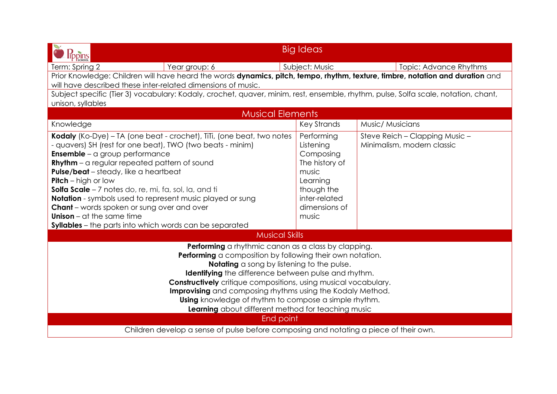| <b>lippins</b>                                                                                                                                                                                                                                                                                                                                                                                                                                                                                                                                                                                     | <b>Big Ideas</b>                                                                                                                     |                                                              |  |  |
|----------------------------------------------------------------------------------------------------------------------------------------------------------------------------------------------------------------------------------------------------------------------------------------------------------------------------------------------------------------------------------------------------------------------------------------------------------------------------------------------------------------------------------------------------------------------------------------------------|--------------------------------------------------------------------------------------------------------------------------------------|--------------------------------------------------------------|--|--|
| Year group: 6<br>Term: Spring 2                                                                                                                                                                                                                                                                                                                                                                                                                                                                                                                                                                    | Subject: Music                                                                                                                       | <b>Topic: Advance Rhythms</b>                                |  |  |
| Prior Knowledge: Children will have heard the words dynamics, pitch, tempo, rhythm, texture, timbre, notation and duration and                                                                                                                                                                                                                                                                                                                                                                                                                                                                     |                                                                                                                                      |                                                              |  |  |
| will have described these inter-related dimensions of music.                                                                                                                                                                                                                                                                                                                                                                                                                                                                                                                                       |                                                                                                                                      |                                                              |  |  |
| Subject specific (Tier 3) vocabulary: Kodaly, crochet, quaver, minim, rest, ensemble, rhythm, pulse, Solfa scale, notation, chant,                                                                                                                                                                                                                                                                                                                                                                                                                                                                 |                                                                                                                                      |                                                              |  |  |
| unison, syllables                                                                                                                                                                                                                                                                                                                                                                                                                                                                                                                                                                                  |                                                                                                                                      |                                                              |  |  |
| <b>Musical Elements</b>                                                                                                                                                                                                                                                                                                                                                                                                                                                                                                                                                                            |                                                                                                                                      |                                                              |  |  |
| Knowledge                                                                                                                                                                                                                                                                                                                                                                                                                                                                                                                                                                                          | <b>Key Strands</b>                                                                                                                   | Music/ Musicians                                             |  |  |
| Kodaly (Ko-Dye) - TA (one beat - crochet), TiTi, (one beat, two notes<br>- quavers) SH (rest for one beat), TWO (two beats - minim)<br><b>Ensemble</b> – a group performance<br><b>Rhythm</b> - a regular repeated pattern of sound<br>Pulse/beat - steady, like a heartbeat<br><b>Pitch</b> – high or low<br>Solfa Scale - 7 notes do, re, mi, fa, sol, la, and ti<br><b>Notation</b> - symbols used to represent music played or sung<br><b>Chant</b> – words spoken or sung over and over<br><b>Unison</b> – at the same time<br><b>Syllables</b> – the parts into which words can be separated | Performing<br>Listening<br>Composing<br>The history of<br>music<br>Learning<br>though the<br>inter-related<br>dimensions of<br>music | Steve Reich - Clapping Music -<br>Minimalism, modern classic |  |  |
| <b>Musical Skills</b>                                                                                                                                                                                                                                                                                                                                                                                                                                                                                                                                                                              |                                                                                                                                      |                                                              |  |  |
| Performing a rhythmic canon as a class by clapping.<br>Performing a composition by following their own notation.<br>Notating a song by listening to the pulse.<br><b>Identifying</b> the difference between pulse and rhythm.<br><b>Constructively</b> critique compositions, using musical vocabulary.<br>Improvising and composing rhythms using the Kodaly Method.<br><b>Using</b> knowledge of rhythm to compose a simple rhythm.<br>Learning about different method for teaching music<br>End point                                                                                           |                                                                                                                                      |                                                              |  |  |
| Children develop a sense of pulse before composing and notating a piece of their own.                                                                                                                                                                                                                                                                                                                                                                                                                                                                                                              |                                                                                                                                      |                                                              |  |  |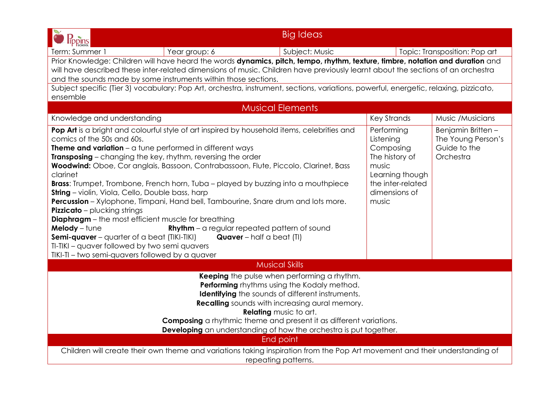| <b>lippins</b>                                                                                                                                     | <b>Big Ideas</b> |                    |                               |  |
|----------------------------------------------------------------------------------------------------------------------------------------------------|------------------|--------------------|-------------------------------|--|
| Term: Summer 1<br>Year group: 6                                                                                                                    | Subject: Music   |                    | Topic: Transposition: Pop art |  |
| Prior Knowledge: Children will have heard the words dynamics, pitch, tempo, rhythm, texture, timbre, notation and duration and                     |                  |                    |                               |  |
| will have described these inter-related dimensions of music. Children have previously learnt about the sections of an orchestra                    |                  |                    |                               |  |
| and the sounds made by some instruments within those sections.                                                                                     |                  |                    |                               |  |
| Subject specific (Tier 3) vocabulary: Pop Art, orchestra, instrument, sections, variations, powerful, energetic, relaxing, pizzicato,              |                  |                    |                               |  |
| ensemble                                                                                                                                           |                  |                    |                               |  |
| <b>Musical Elements</b>                                                                                                                            |                  |                    |                               |  |
| Knowledge and understanding                                                                                                                        |                  | <b>Key Strands</b> | Music /Musicians              |  |
| Pop Art is a bright and colourful style of art inspired by household items, celebrities and                                                        |                  | Performing         | Benjamin Britten-             |  |
| comics of the 50s and 60s.                                                                                                                         |                  | Listening          | The Young Person's            |  |
| <b>Theme and variation</b> $-\alpha$ tune performed in different ways                                                                              |                  | Composing          | Guide to the                  |  |
| <b>Transposing</b> – changing the key, rhythm, reversing the order                                                                                 |                  | The history of     | Orchestra                     |  |
| Woodwind: Oboe, Cor anglais, Bassoon, Contrabassoon, Flute, Piccolo, Clarinet, Bass                                                                |                  | music              |                               |  |
| clarinet                                                                                                                                           |                  | Learning though    |                               |  |
| <b>Brass:</b> Trumpet, Trombone, French horn, Tuba – played by buzzing into a mouthpiece                                                           |                  | the inter-related  |                               |  |
| <b>String</b> - violin, Viola, Cello, Double bass, harp                                                                                            |                  | dimensions of      |                               |  |
| Percussion - Xylophone, Timpani, Hand bell, Tambourine, Snare drum and lots more.                                                                  |                  | music              |                               |  |
| <b>Pizzicato</b> - plucking strings                                                                                                                |                  |                    |                               |  |
| <b>Diaphragm</b> - the most efficient muscle for breathing                                                                                         |                  |                    |                               |  |
| Melody - tune<br><b>Rhythm</b> – a regular repeated pattern of sound                                                                               |                  |                    |                               |  |
| Semi-quaver - quarter of a beat (TIKI-TIKI)<br><b>Quaver</b> – half a beat (TI)                                                                    |                  |                    |                               |  |
| TI-TIKI - quaver followed by two semi quavers                                                                                                      |                  |                    |                               |  |
| TIKI-TI - two semi-quavers followed by a quaver                                                                                                    |                  |                    |                               |  |
| <b>Musical Skills</b>                                                                                                                              |                  |                    |                               |  |
| Keeping the pulse when performing a rhythm.                                                                                                        |                  |                    |                               |  |
| Performing rhythms using the Kodaly method.                                                                                                        |                  |                    |                               |  |
| <b>Identifying</b> the sounds of different instruments.                                                                                            |                  |                    |                               |  |
| <b>Recalling</b> sounds with increasing aural memory.                                                                                              |                  |                    |                               |  |
| <b>Relating</b> music to art.                                                                                                                      |                  |                    |                               |  |
| Composing a rhythmic theme and present it as different variations.                                                                                 |                  |                    |                               |  |
| Developing an understanding of how the orchestra is put together.                                                                                  |                  |                    |                               |  |
| End point                                                                                                                                          |                  |                    |                               |  |
| Children will create their own theme and variations taking inspiration from the Pop Art movement and their understanding of<br>repeating patterns. |                  |                    |                               |  |
|                                                                                                                                                    |                  |                    |                               |  |